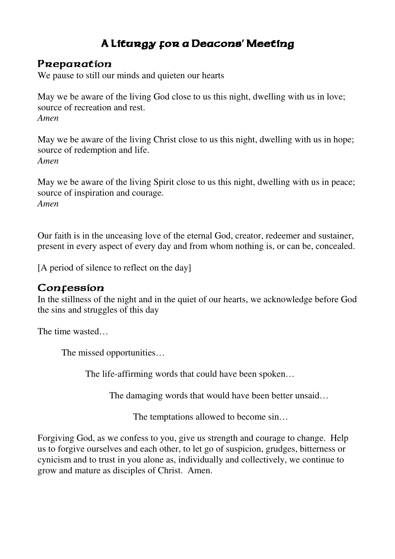## A Liturgy for a Deacons' Meeting

### Preparation

We pause to still our minds and quieten our hearts

May we be aware of the living God close to us this night, dwelling with us in love; source of recreation and rest. *Amen* 

May we be aware of the living Christ close to us this night, dwelling with us in hope; source of redemption and life. *Amen* 

May we be aware of the living Spirit close to us this night, dwelling with us in peace; source of inspiration and courage. *Amen*

Our faith is in the unceasing love of the eternal God, creator, redeemer and sustainer, present in every aspect of every day and from whom nothing is, or can be, concealed.

[A period of silence to reflect on the day]

### Confession

In the stillness of the night and in the quiet of our hearts, we acknowledge before God the sins and struggles of this day

The time wasted…

The missed opportunities…

The life-affirming words that could have been spoken…

The damaging words that would have been better unsaid…

The temptations allowed to become sin…

Forgiving God, as we confess to you, give us strength and courage to change. Help us to forgive ourselves and each other, to let go of suspicion, grudges, bitterness or cynicism and to trust in you alone as, individually and collectively, we continue to grow and mature as disciples of Christ. Amen.